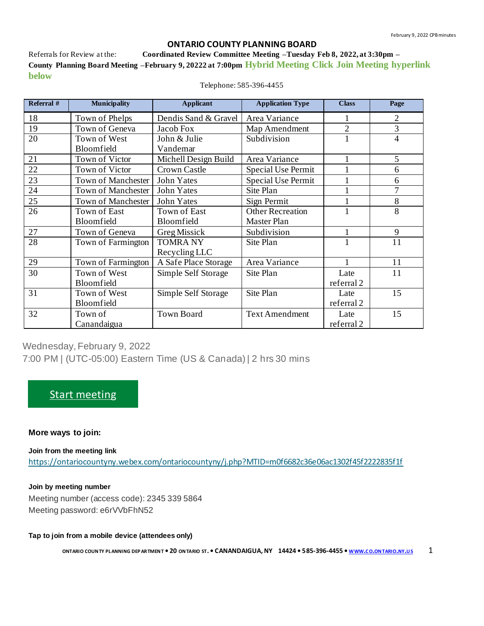#### **ONTARIO COUNTY PLANNING BOARD**

Referrals for Review at the: **Coordinated Review Committee Meeting –Tuesday Feb 8, 2022, at 3:30pm – County Planning Board Meeting –February 9, 20222 at 7:00pm Hybrid Meeting Click Join Meeting hyperlink below**

| Referral # | <b>Municipality</b>       | <b>Applicant</b>     | <b>Application Type</b> | <b>Class</b>   | Page           |
|------------|---------------------------|----------------------|-------------------------|----------------|----------------|
| 18         | Town of Phelps            | Dendis Sand & Gravel | Area Variance           |                | $\overline{2}$ |
| 19         | Town of Geneva            | Jacob Fox            | Map Amendment           | $\overline{2}$ | 3              |
| 20         | Town of West              | John & Julie         | Subdivision             |                | 4              |
|            | Bloomfield                | Vandemar             |                         |                |                |
| 21         | Town of Victor            | Michell Design Build | Area Variance           |                | 5              |
| 22         | Town of Victor            | Crown Castle         | Special Use Permit      |                | 6              |
| 23         | <b>Town of Manchester</b> | John Yates           | Special Use Permit      |                | 6              |
| 24         | <b>Town of Manchester</b> | John Yates           | Site Plan               |                | 7              |
| 25         | <b>Town of Manchester</b> | John Yates           | Sign Permit             |                | 8              |
| 26         | Town of East              | Town of East         | <b>Other Recreation</b> |                | 8              |
|            | Bloomfield                | Bloomfield           | Master Plan             |                |                |
| 27         | Town of Geneva            | Greg Missick         | Subdivision             |                | 9              |
| 28         | Town of Farmington        | <b>TOMRANY</b>       | Site Plan               |                | 11             |
|            |                           | Recycling LLC        |                         |                |                |
| 29         | Town of Farmington        | A Safe Place Storage | Area Variance           |                | 11             |
| 30         | Town of West              | Simple Self Storage  | Site Plan               | Late           | 11             |
|            | Bloomfield                |                      |                         | referral 2     |                |
| 31         | Town of West              | Simple Self Storage  | Site Plan               | Late           | 15             |
|            | Bloomfield                |                      |                         | referral 2     |                |
| 32         | Town of                   | <b>Town Board</b>    | <b>Text Amendment</b>   | Late           | 15             |
|            | Canandaigua               |                      |                         | referral 2     |                |

Telephone: 585-396-4455

Wednesday, February 9, 2022 7:00 PM | (UTC-05:00) Eastern Time (US & Canada) | 2 hrs 30 mins

## [Start meeting](https://ontariocountyny.webex.com/ontariocountyny/j.php?MTID=m0f6682c36e06ac1302f45f2222835f1f)

#### **More ways to join:**

**Join from the meeting link** <https://ontariocountyny.webex.com/ontariocountyny/j.php?MTID=m0f6682c36e06ac1302f45f2222835f1f>

**Join by meeting number**  Meeting number (access code): 2345 339 5864 Meeting password: e6rVVbFhN52

#### **Tap to join from a mobile device (attendees only)**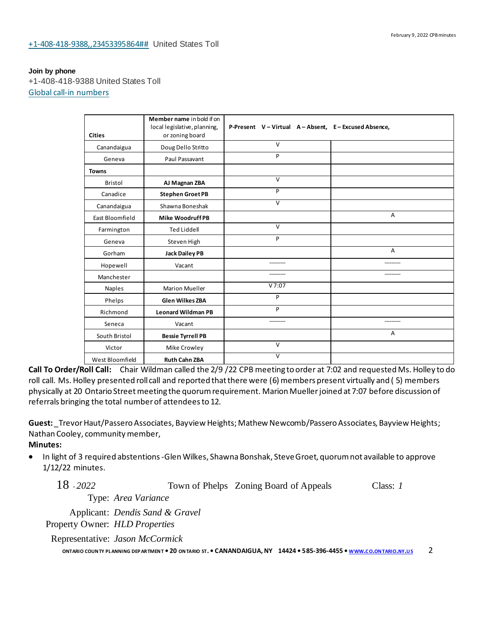#### **Join by phone**

+1-408-418-9388 United States Toll [Global call-in numbers](https://ontariocountyny.webex.com/ontariocountyny/globalcallin.php?MTID=m011593721cf19820b5232528f97ba55c)

|                 | Member name in bold if on                       |                                                  |                |
|-----------------|-------------------------------------------------|--------------------------------------------------|----------------|
| <b>Cities</b>   | local legislative, planning,<br>or zoning board | P-Present V-Virtual A-Absent, E-Excused Absence, |                |
| Canandaigua     | Doug Dello Stritto                              | $\vee$                                           |                |
| Geneva          | Paul Passavant                                  | P                                                |                |
| <b>Towns</b>    |                                                 |                                                  |                |
| Bristol         | AJ Magnan ZBA                                   | $\overline{V}$                                   |                |
| Canadice        | <b>Stephen Groet PB</b>                         | P                                                |                |
| Canandaigua     | Shawna Boneshak                                 | $\overline{V}$                                   |                |
| East Bloomfield | <b>Mike Woodruff PB</b>                         |                                                  | $\overline{A}$ |
| Farmington      | <b>Ted Liddell</b>                              | $\vee$                                           |                |
| Geneva          | Steven High                                     | P                                                |                |
| Gorham          | <b>Jack Dailey PB</b>                           |                                                  | A              |
| Hopewell        | Vacant                                          |                                                  |                |
| Manchester      |                                                 |                                                  |                |
| Naples          | <b>Marion Mueller</b>                           | V7:07                                            |                |
| Phelps          | <b>Glen Wilkes ZBA</b>                          | P                                                |                |
| Richmond        | <b>Leonard Wildman PB</b>                       | P                                                |                |
| Seneca          | Vacant                                          | ----------                                       | ----------     |
| South Bristol   | <b>Bessie Tyrrell PB</b>                        |                                                  | A              |
| Victor          | Mike Crowley                                    | $\vee$                                           |                |
| West Bloomfield | <b>Ruth Cahn ZBA</b>                            | $\vee$                                           |                |

**Call To Order/Roll Call:** Chair Wildman called the 2/9 /22 CPB meeting to order at 7:02 and requested Ms. Holley to do roll call. Ms. Holley presented roll call and reported that there were (6) members present virtually and ( 5) members physically at 20 Ontario Street meeting the quorum requirement. Marion Mueller joined at 7:07 before discussion of referrals bringing the total number of attendees to 12.

**Guest:**\_TrevorHaut/Passero Associates, Bayview Heights; Mathew Newcomb/Passero Associates, Bayview Heights; Nathan Cooley, communitymember,

**Minutes:**

In light of 3 required abstentions -Glen Wilkes, Shawna Bonshak, Steve Groet, quorum not available to approve 1/12/22 minutes.

18 - *2022* Town of Phelps Zoning Board of Appeals Class: *1*

Type: *Area Variance*

Applicant: *Dendis Sand & Gravel* Property Owner: *HLD Properties*

Representative: *Jason McCormick*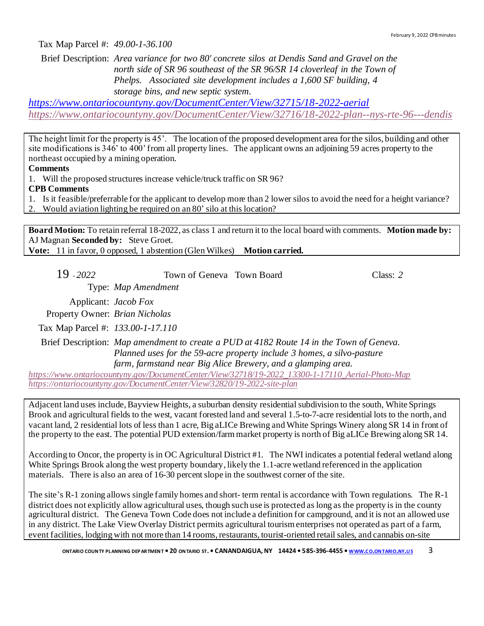Tax Map Parcel #: *49.00-1-36.100*

Brief Description: *Area variance for two 80' concrete silos at Dendis Sand and Gravel on the north side of SR 96 southeast of the SR 96/SR 14 cloverleaf in the Town of Phelps. Associated site development includes a 1,600 SF building, 4 storage bins, and new septic system.*

*<https://www.ontariocountyny.gov/DocumentCenter/View/32715/18-2022-aerial> <https://www.ontariocountyny.gov/DocumentCenter/View/32716/18-2022-plan--nys-rte-96---dendis>*

The height limit for the property is 45'. The location of the proposed development area for the silos, building and other site modifications is  $346'$  to  $400'$  from all property lines. The applicant owns an adjoining 59 acres property to the northeast occupied by a mining operation.

**Comments**

1. Will the proposed structures increase vehicle/truck traffic on SR 96?

**CPB Comments**

- 1. Is it feasible/preferrable for the applicant to develop more than 2 lower silos to avoid the need for a height variance?
- 2. Would aviation lighting be required on an 80' silo at this location?

**Board Motion:** To retain referral 18-2022, as class 1 and return it to the local board with comments. **Motion made by:**  AJ Magnan **Seconded by:** Steve Groet.

**Vote:** 11 in favor, 0 opposed, 1 abstention (Glen Wilkes) **Motion carried.**

19 - *2022* Town of Geneva Town Board Class: *2*

Type: *Map Amendment*

Applicant: *Jacob Fox*

Property Owner: *Brian Nicholas*

Tax Map Parcel #: *133.00-1-17.110*

Brief Description: *Map amendment to create a PUD at 4182 Route 14 in the Town of Geneva. Planned uses for the 59-acre property include 3 homes, a silvo-pasture farm, farmstand near Big Alice Brewery, and a glamping area.*

*[https://www.ontariocountyny.gov/DocumentCenter/View/32718/19-2022\\_13300-1-17110\\_Aerial-Photo-Map](https://www.ontariocountyny.gov/DocumentCenter/View/32718/19-2022_13300-1-17110_Aerial-Photo-Map) <https://ontariocountyny.gov/DocumentCenter/View/32820/19-2022-site-plan>*

Adjacent land uses include,Bayview Heights, a suburban density residential subdivision to the south, White Springs Brook and agricultural fields to the west, vacant forested land and several 1.5-to-7-acre residential lots to the north, and vacant land, 2 residential lots of less than 1 acre, Big aLICe Brewing and White Springs Winery along SR 14 in front of the property to the east. The potential PUD extension/farm market property is north of Big aLICe Brewing along SR 14.

According to Oncor, the property is in OC Agricultural District #1. The NWI indicates a potential federal wetland along White Springs Brook along the west property boundary, likely the 1.1-acre wetland referenced in the application materials. There is also an area of 16-30 percent slope in the southwest corner of the site.

The site's R-1 zoning allows single family homes and short- term rental is accordance with Town regulations. The R-1 district does not explicitly allow agricultural uses, though such use is protected as long as the property is in the county agricultural district. The Geneva Town Code does not include a definition for campground, and it is not an allowed use in any district. The Lake View Overlay District permits agricultural tourism enterprises not operated as part of a farm, event facilities, lodging with not more than 14 rooms, restaurants, tourist-oriented retail sales, and cannabis on-site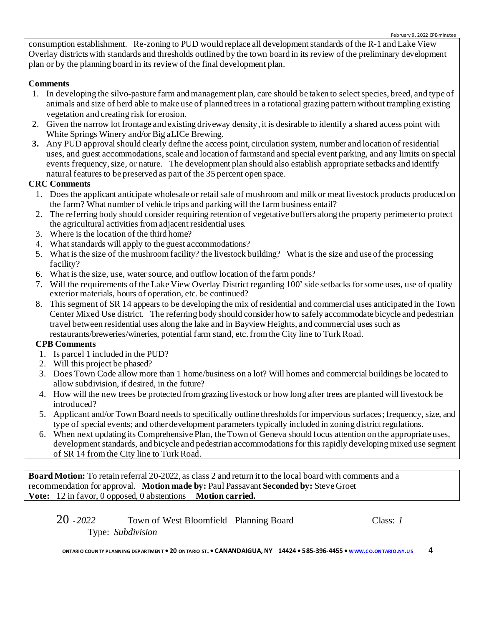consumption establishment. Re-zoning to PUD would replace all development standards of the R-1 and Lake View Overlay districts with standards and thresholds outlined by the town board in its review of the preliminary development plan or by the planning board in its review of the final development plan.

## **Comments**

- 1. In developing the silvo-pasture farm and management plan, care should be taken to select species, breed, and type of animals and size of herd able to make use of planned trees in a rotational grazing pattern without trampling existing vegetation and creating risk for erosion.
- 2. Given the narrow lot frontage and existing driveway density, it is desirable to identify a shared access point with White Springs Winery and/or Big aLICe Brewing.
- **3.** Any PUD approval should clearly define the access point, circulation system, number and location of residential uses, and guest accommodations, scale and location of farmstand and special event parking, and any limits on special events frequency, size, or nature. The development plan should also establish appropriate setbacks and identify natural features to be preserved as part of the 35 percent open space.

## **CRC Comments**

- 1. Does the applicant anticipate wholesale or retail sale of mushroom and milk or meat livestock products produced on the farm? What number of vehicle trips and parking will the farm business entail?
- 2. The referring body should consider requiring retention of vegetative buffers along the property perimeter to protect the agricultural activities from adjacent residential uses.
- 3. Where is the location of the third home?
- 4. What standards will apply to the guest accommodations?
- 5. What is the size of the mushroom facility? the livestock building? What is the size and use of the processing facility?
- 6. What is the size, use, water source, and outflow location of the farm ponds?
- 7. Will the requirements of the Lake View Overlay District regarding 100' side setbacks for some uses, use of quality exterior materials, hours of operation, etc. be continued?
- 8. This segment of SR 14 appears to be developing the mix of residential and commercial uses anticipated in the Town Center Mixed Use district. The referring body should consider how to safely accommodate bicycle and pedestrian travel between residential uses along the lake and in Bayview Heights, and commercial uses such as restaurants/breweries/wineries, potential farm stand, etc.from the City line to Turk Road.

#### **CPB Comments**

- 1. Is parcel 1 included in the PUD?
- 2. Will this project be phased?
- 3. Does Town Code allow more than 1 home/business on a lot? Will homes and commercial buildings be located to allow subdivision, if desired, in the future?
- 4. How will the new trees be protected from grazing livestock or how long after trees are planted will livestock be introduced?
- 5. Applicant and/or Town Board needs to specifically outline thresholds for impervious surfaces; frequency, size, and type of special events; and other development parameters typically included in zoning district regulations.
- 6. When next updating its Comprehensive Plan, the Town of Geneva should focus attention on the appropriate uses, development standards, and bicycle and pedestrian accommodations for this rapidly developing mixed use segment of SR 14 from the City line to Turk Road.

**Board Motion:** To retain referral 20-2022, as class 2 and return it to the local board with comments and a recommendation for approval. **Motion made by:** Paul Passavant **Seconded by:** Steve Groet **Vote:** 12 in favor, 0 opposed, 0 abstentions **Motion carried.** 

| $20 - 2022$ | Town of West Bloomfield Planning Board | Class: 1 |
|-------------|----------------------------------------|----------|
|             | Type: Subdivision                      |          |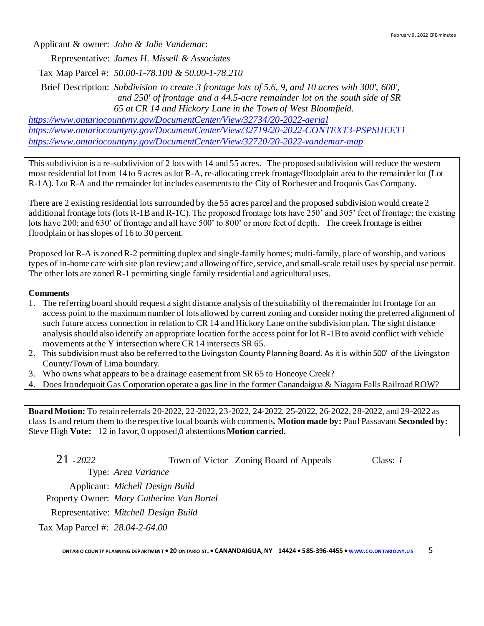Applicant & owner: *John & Julie Vandemar*: Representative: *James H. Missell & Associates* Tax Map Parcel #: *50.00-1-78.100 & 50.00-1-78.210* Brief Description: *Subdivision to create 3 frontage lots of 5.6, 9, and 10 acres with 300', 600',*

*and 250' of frontage and a 44.5-acre remainder lot on the south side of SR 65 at CR 14 and Hickory Lane in the Town of West Bloomfield. <https://www.ontariocountyny.gov/DocumentCenter/View/32734/20-2022-aerial>*

*<https://www.ontariocountyny.gov/DocumentCenter/View/32719/20-2022-CONTEXT3-PSPSHEET1> <https://www.ontariocountyny.gov/DocumentCenter/View/32720/20-2022-vandemar-map>*

This subdivision is a re-subdivision of 2 lots with 14 and 55 acres. The proposed subdivision will reduce the western most residential lot from 14 to 9 acres as lot R-A, re-allocating creek frontage/floodplain area to the remainder lot (Lot R-1A). Lot R-A and the remainder lot includes easements to the City of Rochester and Iroquois Gas Company.

There are 2 existing residential lots surrounded by the 55 acres parcel and the proposed subdivision would create 2 additional frontage lots (lots R-1B and R-1C). The proposed frontage lots have 250' and 305' feet of frontage; the existing lots have 200; and 630' of frontage and all have 500' to 800' or more feet of depth. The creek frontage is either floodplain or has slopes of 16 to 30 percent.

Proposed lot R-A is zoned R-2 permitting duplex and single-family homes; multi-family, place of worship, and various types of in-home care with site plan review; and allowing office, service, and small-scale retail uses by special use permit. The other lots are zoned R-1 permitting single family residential and agricultural uses.

#### **Comments**

- 1. The referring board should request a sight distance analysis of the suitability of the remainder lot frontage for an access point to the maximum number of lots allowed by current zoning and consider noting the preferred alignment of such future access connection in relation to CR 14 and Hickory Lane on the subdivision plan. The sight distance analysis should also identify an appropriate location for the access point for lot R-1B to avoid conflict with vehicle movements at the Y intersection where CR 14 intersects SR 65.
- 2. This subdivision must also be referred to the Livingston County Planning Board. As it is within 500' of the Livingston County/Town of Lima boundary.
- 3. Who owns what appears to be a drainage easement from SR 65 to Honeoye Creek?
- 4. Does Irondequoit Gas Corporation operate a gas line in the former Canandaigua & Niagara Falls Railroad ROW?

**Board Motion:** To retain referrals 20-2022, 22-2022, 23-2022, 24-2022, 25-2022, 26-2022, 28-2022, and 29-2022 as class 1s and return them to the respective local boards with comments. **Motion made by:** Paul Passavant **Seconded by:**  Steve High **Vote:** 12 in favor, 0 opposed,0 abstentions**Motion carried.**

21 - *2022* Town of Victor Zoning Board of Appeals Class: *1*

Type: *Area Variance*

Applicant: *Michell Design Build* Property Owner: *Mary Catherine Van Bortel* Representative: *Mitchell Design Build* Tax Map Parcel #: *28.04-2-64.00*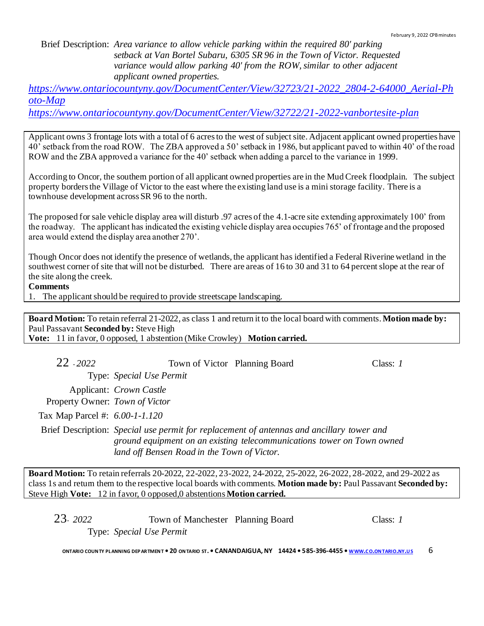Brief Description: *Area variance to allow vehicle parking within the required 80' parking setback at Van Bortel Subaru, 6305 SR 96 in the Town of Victor. Requested variance would allow parking 40' from the ROW, similar to other adjacent applicant owned properties.*

*[https://www.ontariocountyny.gov/DocumentCenter/View/32723/21-2022\\_2804-2-64000\\_Aerial-Ph](https://www.ontariocountyny.gov/DocumentCenter/View/32723/21-2022_2804-2-64000_Aerial-Photo-Map) [oto-Map](https://www.ontariocountyny.gov/DocumentCenter/View/32723/21-2022_2804-2-64000_Aerial-Photo-Map)*

*<https://www.ontariocountyny.gov/DocumentCenter/View/32722/21-2022-vanbortesite-plan>*

Applicant owns 3 frontage lots with a total of 6 acres to the west of subject site. Adjacent applicant owned properties have 40' setback from the road ROW. The ZBA approved a 50' setback in 1986, but applicant paved to within 40' of the road ROW and the ZBA approved a variance for the 40' setback when adding a parcel to the variance in 1999.

According to Oncor, the southern portion of all applicant owned properties are in the Mud Creek floodplain. The subject property borders the Village of Victor to the east where the existing land use is a mini storage facility. There is a townhouse development across SR 96 to the north.

The proposed for sale vehicle display area will disturb .97 acres of the 4.1-acre site extending approximately 100' from the roadway. The applicant has indicated the existing vehicle display area occupies 765' of frontage and the proposed area would extend the display area another 270'.

Though Oncor does not identify the presence of wetlands, the applicant has identified a Federal Riverine wetland in the southwest corner of site that will not be disturbed. There are areas of 16 to 30 and 31 to 64 percent slope at the rear of the site along the creek.

**Comments**

1. The applicant should be required to provide streetscape landscaping.

**Board Motion:** To retain referral 21-2022, as class 1 and return it to the local board with comments. **Motion made by:**  Paul Passavant **Seconded by:** Steve High **Vote:** 11 in favor, 0 opposed, 1 abstention (Mike Crowley) **Motion carried.**

| $22 - 2022$                    | Town of Victor Planning Board               |                                                                                                                                                                     | Class: $I$ |
|--------------------------------|---------------------------------------------|---------------------------------------------------------------------------------------------------------------------------------------------------------------------|------------|
|                                | Type: Special Use Permit                    |                                                                                                                                                                     |            |
|                                | Applicant: Crown Castle                     |                                                                                                                                                                     |            |
| Property Owner: Town of Victor |                                             |                                                                                                                                                                     |            |
| Tax Map Parcel #: 6.00-1-1.120 |                                             |                                                                                                                                                                     |            |
|                                | land off Bensen Road in the Town of Victor. | Brief Description: Special use permit for replacement of antennas and ancillary tower and<br>ground equipment on an existing telecommunications tower on Town owned |            |

**Board Motion:** To retain referrals 20-2022, 22-2022, 23-2022, 24-2022, 25-2022, 26-2022, 28-2022, and 29-2022 as class 1s and return them to the respective local boards with comments. **Motion made by:** Paul Passavant **Seconded by:**  Steve High **Vote:** 12 in favor, 0 opposed,0 abstentions**Motion carried.**

| 23-2022 | Town of Manchester Planning Board | Class: 1 |
|---------|-----------------------------------|----------|
|         | Type: Special Use Permit          |          |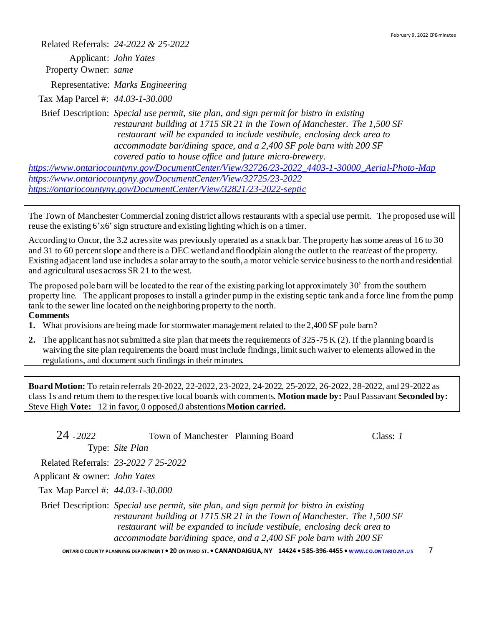Related Referrals: *24-2022 & 25-2022*

Applicant: *John Yates* Property Owner: *same*

Representative: *Marks Engineering*

Tax Map Parcel #: *44.03-1-30.000*

Brief Description: *Special use permit, site plan, and sign permit for bistro in existing restaurant building at 1715 SR 21 in the Town of Manchester. The 1,500 SF restaurant will be expanded to include vestibule, enclosing deck area to accommodate bar/dining space, and a 2,400 SF pole barn with 200 SF covered patio to house office and future micro-brewery.*

*[https://www.ontariocountyny.gov/DocumentCenter/View/32726/23-2022\\_4403-1-30000\\_Aerial-Photo-Map](https://www.ontariocountyny.gov/DocumentCenter/View/32726/23-2022_4403-1-30000_Aerial-Photo-Map) <https://www.ontariocountyny.gov/DocumentCenter/View/32725/23-2022> <https://ontariocountyny.gov/DocumentCenter/View/32821/23-2022-septic>*

The Town of Manchester Commercial zoning district allows restaurants with a special use permit. The proposed use will reuse the existing 6'x6' sign structure and existing lighting which is on a timer.

According to Oncor, the 3.2 acres site was previously operated as a snack bar. The property has some areas of 16 to 30 and 31 to 60 percent slope and there is a DEC wetland and floodplain along the outlet to the rear/east of the property. Existing adjacent land use includes a solar array to the south, a motor vehicle service business to the north and residential and agricultural uses across SR 21 to the west.

The proposed pole barn will be located to the rear of the existing parking lot approximately 30' from the southern property line. The applicant proposes to install a grinder pump in the existing septic tank and a force line from the pump tank to the sewer line located on the neighboring property to the north. **Comments**

- **1.** What provisions are being made for stormwater management related to the 2,400 SF pole barn?
- **2.** The applicant has not submitted a site plan that meets the requirements of 325-75 K (2). If the planning board is waiving the site plan requirements the board must include findings, limit such waiver to elements allowed in the regulations, and document such findings in their minutes.

**Board Motion:** To retain referrals 20-2022, 22-2022, 23-2022, 24-2022, 25-2022, 26-2022, 28-2022, and 29-2022 as class 1s and return them to the respective local boards with comments. **Motion made by:** Paul Passavant **Seconded by:**  Steve High **Vote:** 12 in favor, 0 opposed,0 abstentions**Motion carried.**

| 24 - 2022                            | Town of Manchester Planning Board    |                                                                                                                                                                                                                                                                                                                         | Class: $I$ |
|--------------------------------------|--------------------------------------|-------------------------------------------------------------------------------------------------------------------------------------------------------------------------------------------------------------------------------------------------------------------------------------------------------------------------|------------|
|                                      | Type: Site Plan                      |                                                                                                                                                                                                                                                                                                                         |            |
|                                      | Related Referrals: 23-2022 7 25-2022 |                                                                                                                                                                                                                                                                                                                         |            |
| Applicant & owner: <i>John Yates</i> |                                      |                                                                                                                                                                                                                                                                                                                         |            |
| Tax Map Parcel #: 44.03-1-30.000     |                                      |                                                                                                                                                                                                                                                                                                                         |            |
|                                      |                                      | Brief Description: Special use permit, site plan, and sign permit for bistro in existing<br>restaurant building at 1715 SR 21 in the Town of Manchester. The 1,500 SF<br>restaurant will be expanded to include vestibule, enclosing deck area to<br>accommodate bar/dining space, and a 2,400 SF pole barn with 200 SF |            |
|                                      |                                      | ONTARIO COUNTY PLANNING DEPARTMENT . 20 ONTARIO ST. . CANANDAIGUA, NY 14424 . 585-396-4455 . WWW.CO.ONTARIO.NY.US                                                                                                                                                                                                       |            |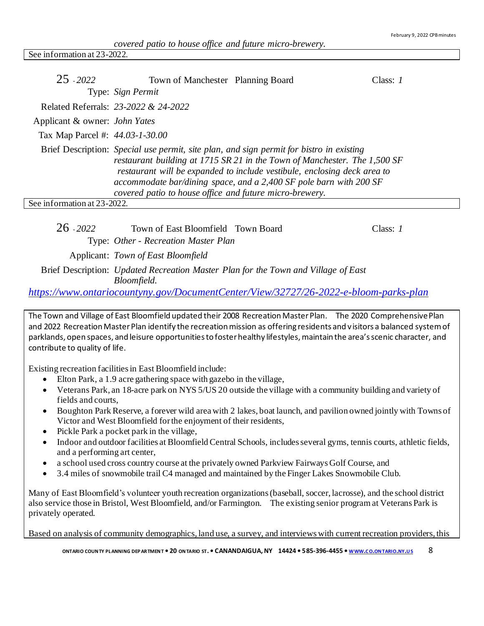See information at 23-2022.

| $25 - 2022$                          | Town of Manchester Planning Board                       |                                                                                                                                                                                                                                                                                                                         | Class: $I$ |
|--------------------------------------|---------------------------------------------------------|-------------------------------------------------------------------------------------------------------------------------------------------------------------------------------------------------------------------------------------------------------------------------------------------------------------------------|------------|
|                                      | Type: Sign Permit                                       |                                                                                                                                                                                                                                                                                                                         |            |
|                                      | Related Referrals: 23-2022 & 24-2022                    |                                                                                                                                                                                                                                                                                                                         |            |
| Applicant & owner: <i>John Yates</i> |                                                         |                                                                                                                                                                                                                                                                                                                         |            |
| Tax Map Parcel #: 44.03-1-30.00      |                                                         |                                                                                                                                                                                                                                                                                                                         |            |
|                                      | covered patio to house office and future micro-brewery. | Brief Description: Special use permit, site plan, and sign permit for bistro in existing<br>restaurant building at 1715 SR 21 in the Town of Manchester. The 1,500 SF<br>restaurant will be expanded to include vestibule, enclosing deck area to<br>accommodate bar/dining space, and a 2,400 SF pole barn with 200 SF |            |
| See information at 23-2022.          |                                                         |                                                                                                                                                                                                                                                                                                                         |            |
|                                      |                                                         |                                                                                                                                                                                                                                                                                                                         |            |

26 - *2022* Town of East Bloomfield Town Board Class: *1* Type: *Other - Recreation Master Plan* Applicant: *Town of East Bloomfield*

Brief Description: *Updated Recreation Master Plan for the Town and Village of East Bloomfield.*

*<https://www.ontariocountyny.gov/DocumentCenter/View/32727/26-2022-e-bloom-parks-plan>*

The Town and Village of East Bloomfield updated their 2008 Recreation Master Plan. The 2020 Comprehensive Plan and 2022 Recreation Master Plan identify the recreation mission as offering residents and visitors a balanced system of parklands, open spaces, and leisure opportunities to foster healthy lifestyles, maintain the area's scenic character, and contribute to quality of life.

Existing recreation facilities in East Bloomfield include:

- Elton Park, a 1.9 acre gathering space with gazebo in the village,
- Veterans Park, an 18-acre park on NYS 5/US 20 outside the village with a community building and variety of fields and courts,
- Boughton Park Reserve, a forever wild area with 2 lakes, boat launch, and pavilion owned jointly with Towns of Victor and West Bloomfield for the enjoyment of their residents,
- Pickle Park a pocket park in the village,
- Indoor and outdoor facilities at Bloomfield Central Schools, includes several gyms, tennis courts, athletic fields, and a performing art center,
- a school used cross country course at the privately owned Parkview Fairways Golf Course, and
- 3.4 miles of snowmobile trail C4 managed and maintained by the Finger Lakes Snowmobile Club.

Many of East Bloomfield's volunteer youth recreation organizations (baseball, soccer, lacrosse), and the school district also service those in Bristol, West Bloomfield, and/or Farmington. The existing senior program at Veterans Park is privately operated.

Based on analysis of community demographics, land use, a survey, and interviews with current recreation providers, this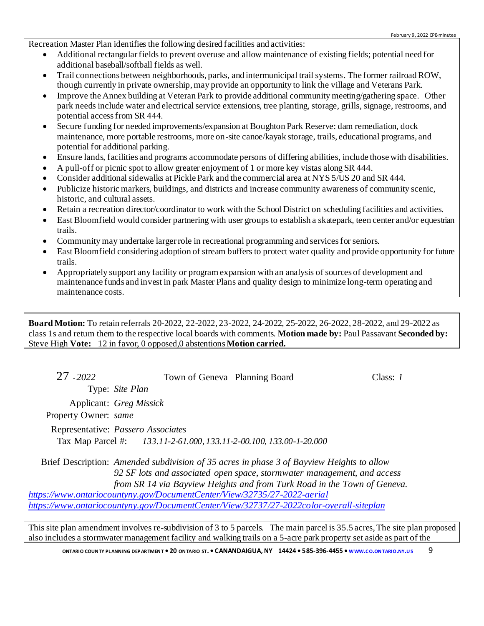Recreation Master Plan identifies the following desired facilities and activities:

- Additional rectangular fields to prevent overuse and allow maintenance of existing fields; potential need for additional baseball/softball fields as well.
- Trail connections between neighborhoods, parks, and intermunicipal trail systems. The former railroad ROW, though currently in private ownership, may provide an opportunity to link the village and Veterans Park.
- Improve the Annex building at Veteran Park to provide additional community meeting/gathering space. Other park needs include water and electrical service extensions, tree planting, storage, grills, signage, restrooms, and potential access from SR 444.
- Secure funding for needed improvements/expansion at Boughton Park Reserve: dam remediation, dock maintenance, more portable restrooms, more on-site canoe/kayak storage, trails, educational programs, and potential for additional parking.
- Ensure lands, facilities and programs accommodate persons of differing abilities, include those with disabilities.
- A pull-off or picnic spot to allow greater enjoyment of 1 or more key vistas along SR 444.
- Consider additional sidewalks at Pickle Park and the commercial area at NYS 5/US 20 and SR 444.
- Publicize historic markers, buildings, and districts and increase community awareness of community scenic, historic, and cultural assets.
- Retain a recreation director/coordinator to work with the School District on scheduling facilities and activities.
- East Bloomfield would consider partnering with user groups to establish a skatepark, teen center and/or equestrian trails.
- Community may undertake larger role in recreational programming and services for seniors.
- East Bloomfield considering adoption of stream buffers to protect water quality and provide opportunity for future trails.
- Appropriately support any facility or program expansion with an analysis of sources of development and maintenance funds and invest in park Master Plans and quality design to minimize long-term operating and maintenance costs.

**Board Motion:** To retain referrals 20-2022, 22-2022, 23-2022, 24-2022, 25-2022, 26-2022, 28-2022, and 29-2022 as class 1s and return them to the respective local boards with comments. **Motion made by:** Paul Passavant **Seconded by:**  Steve High **Vote:** 12 in favor, 0 opposed,0 abstentions**Motion carried.**

27 - *2022* Town of Geneva Planning Board Class: *1*

Type: *Site Plan*

Applicant: *Greg Missick*

Property Owner: *same*

Representative: *Passero Associates* Tax Map Parcel #: *133.11-2-61.000, 133.11-2-00.100, 133.00-1-20.000*

Brief Description: *Amended subdivision of 35 acres in phase 3 of Bayview Heights to allow 92 SF lots and associated open space, stormwater management, and access from SR 14 via Bayview Heights and from Turk Road in the Town of Geneva. <https://www.ontariocountyny.gov/DocumentCenter/View/32735/27-2022-aerial>*

*<https://www.ontariocountyny.gov/DocumentCenter/View/32737/27-2022color-overall-siteplan>*

This site plan amendment involves re-subdivision of 3 to 5 parcels. The main parcel is 35.5 acres, The site plan proposed also includes a stormwater management facility and walking trails on a 5-acre park property set aside as part of the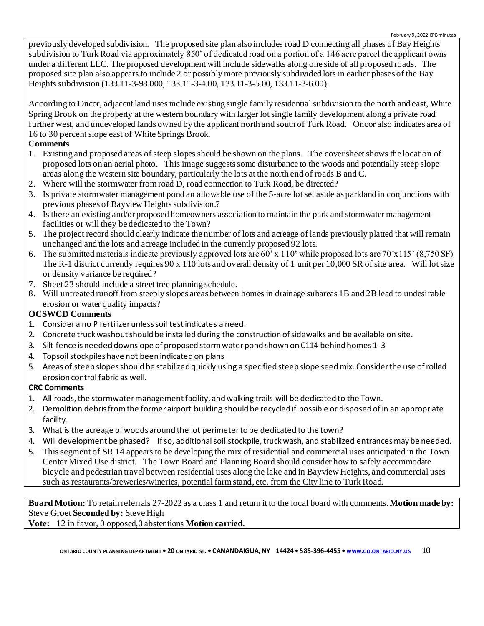previously developed subdivision. The proposed site plan also includes road D connecting all phases of Bay Heights subdivision to Turk Road via approximately 850' of dedicated road on a portion of a 146 acre parcel the applicant owns under a different LLC. The proposed development will include sidewalks along one side of all proposed roads. The proposed site plan also appears to include 2 or possibly more previously subdivided lots in earlier phases of the Bay Heights subdivision (133.11-3-98.000, 133.11-3-4.00, 133.11-3-5.00, 133.11-3-6.00).

According to Oncor, adjacent land uses include existing single family residential subdivision to the north and east, White Spring Brook on the property at the western boundary with larger lot single family development along a private road further west, and undeveloped lands owned by the applicant north and south of Turk Road. Oncor also indicates area of 16 to 30 percent slope east of White Springs Brook.

## **Comments**

- 1. Existing and proposed areas of steep slopes should be shown on the plans. The cover sheet shows the location of proposed lots on an aerial photo. This image suggests some disturbance to the woods and potentially steep slope areas along the western site boundary, particularly the lots at the north end of roads B and C.
- 2. Where will the stormwater from road D, road connection to Turk Road, be directed?
- 3. Is private stormwater management pond an allowable use of the 5-acre lot set aside as parkland in conjunctions with previous phases of Bayview Heights subdivision.?
- 4. Is there an existing and/or proposed homeowners association to maintain the park and stormwater management facilities or will they be dedicated to the Town?
- 5. The project record should clearly indicate the number of lots and acreage of lands previously platted that will remain unchanged and the lots and acreage included in the currently proposed 92 lots.
- 6. The submitted materials indicate previously approved lots are 60' x 110' while proposed lots are 70'x115' (8,750 SF) The R-1 district currently requires 90 x 110 lots and overall density of 1 unit per 10,000 SR of site area. Will lot size or density variance be required?
- 7. Sheet 23 should include a street tree planning schedule.
- 8. Will untreated runoff from steeply slopes areas between homes in drainage subareas 1B and 2B lead to undesirable erosion or water quality impacts?

## **OCSWCD Comments**

- 1. Consider a no P fertilizer unless soil test indicates a need.
- 2. Concrete truck washout should be installed during the construction of sidewalks and be available on site.
- 3. Silt fence is needed downslope of proposed storm water pond shown on C114 behind homes 1-3
- 4. Topsoil stockpiles have not been indicated on plans
- 5. Areas of steep slopes should be stabilized quickly using a specified steep slope seed mix. Consider the use of rolled erosion control fabric as well.

## **CRC Comments**

- 1. All roads,the stormwater managementfacility, and walking trails will be dedicated to the Town.
- 2. Demolition debris from the former airport building should be recycled if possible or disposed of in an appropriate facility.
- 3. What is the acreage of woods around the lot perimeter to be dedicated to the town?
- 4. Will development be phased? If so, additional soil stockpile, truck wash, and stabilized entrances may be needed.
- 5. This segment of SR 14 appears to be developing the mix of residential and commercial uses anticipated in the Town Center Mixed Use district. The Town Board and Planning Board should consider how to safely accommodate bicycle and pedestrian travel between residential uses along the lake and in Bayview Heights, and commercial uses such as restaurants/breweries/wineries, potential farm stand, etc. from the City line to Turk Road.

**Board Motion:** To retain referrals 27-2022 as a class 1 and return it to the local board with comments. **Motion made by:**  Steve Groet **Seconded by:** Steve High

**Vote:** 12 in favor, 0 opposed,0 abstentions **Motion carried.**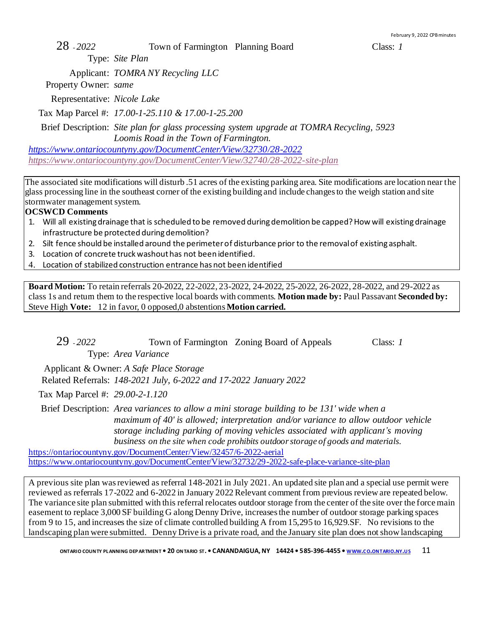28 - *2022* Town of Farmington Planning Board Class: *1*

Type: *Site Plan*

Applicant: *TOMRA NY Recycling LLC*

Property Owner: *same*

Representative: *Nicole Lake*

Tax Map Parcel #: *17.00-1-25.110 & 17.00-1-25.200*

Brief Description: *Site plan for glass processing system upgrade at TOMRA Recycling, 5923 Loomis Road in the Town of Farmington.*

*<https://www.ontariocountyny.gov/DocumentCenter/View/32730/28-2022> <https://www.ontariocountyny.gov/DocumentCenter/View/32740/28-2022-site-plan>*

The associated site modifications will disturb .51 acres of the existing parking area. Site modifications are location near the glass processing line in the southeast corner of the existing building and include changes to the weigh station and site stormwater management system.

## **OCSWCD Comments**

- 1. Will all existing drainage that is scheduled to be removed during demolition be capped? How will existing drainage infrastructure be protected during demolition?
- 2. Silt fence should be installed around the perimeter of disturbance prior to the removal of existing asphalt.
- 3. Location of concrete truck washout has not been identified.
- 4. Location of stabilized construction entrance has not been identified

**Board Motion:** To retain referrals 20-2022, 22-2022, 23-2022, 24-2022, 25-2022, 26-2022, 28-2022, and 29-2022 as class 1s and return them to the respective local boards with comments. **Motion made by:** Paul Passavant **Seconded by:**  Steve High **Vote:** 12 in favor, 0 opposed,0 abstentions**Motion carried.**

29 - *2022* Town of Farmington Zoning Board of Appeals Class: *1*

Type: *Area Variance*

 Applicant & Owner: *A Safe Place Storage* Related Referrals: *148-2021 July, 6-2022 and 17-2022 January 2022*

Tax Map Parcel #: *29.00-2-1.120*

Brief Description: *Area variances to allow a mini storage building to be 131' wide when a maximum of 40' is allowed; interpretation and/or variance to allow outdoor vehicle storage including parking of moving vehicles associated with applicant's moving business on the site when code prohibits outdoor storage of goods and materials.*

<https://ontariocountyny.gov/DocumentCenter/View/32457/6-2022-aerial> <https://www.ontariocountyny.gov/DocumentCenter/View/32732/29-2022-safe-place-variance-site-plan>

A previous site plan was reviewed as referral 148-2021 in July 2021. An updated site plan and a special use permit were reviewed as referrals 17-2022 and 6-2022 in January 2022 Relevant comment from previous review are repeated below. The variance site plan submitted with this referral relocates outdoor storage from the center of the site over the force main easement to replace 3,000 SF building G along Denny Drive, increases the number of outdoor storage parking spaces from 9 to 15, and increases the size of climate controlled building A from 15,295 to 16,929.SF. No revisions to the landscaping plan were submitted. Denny Drive is a private road, and the January site plan does not show landscaping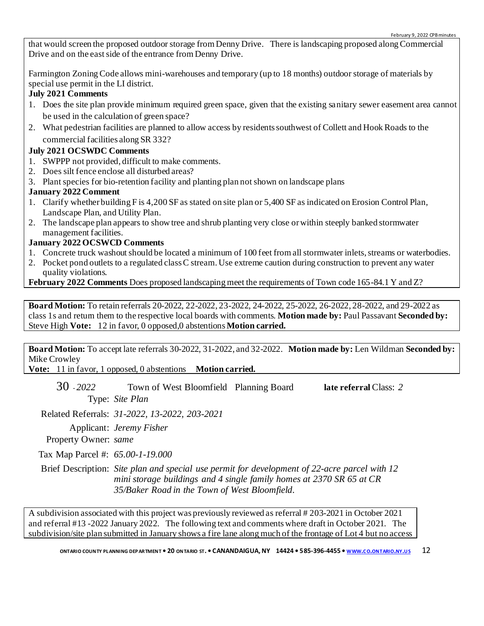that would screen the proposed outdoor storage from Denny Drive. There is landscaping proposed along Commercial Drive and on the east side of the entrance from Denny Drive.

Farmington Zoning Code allows mini-warehouses and temporary (up to 18 months) outdoor storage of materials by special use permit in the LI district.

## **July 2021 Comments**

- 1. Does the site plan provide minimum required green space, given that the existing sanitary sewer easement area cannot be used in the calculation of green space?
- 2. What pedestrian facilities are planned to allow access by residents southwest of Collett and Hook Roads to the commercial facilities along SR 332?

## **July 2021 OCSWDC Comments**

- 1. SWPPP not provided, difficult to make comments.
- 2. Does silt fence enclose all disturbed areas?
- 3. Plant species for bio-retention facility and planting plan not shown on landscape plans

## **January 2022 Comment**

- 1. Clarify whether building F is 4,200 SF as stated on site plan or 5,400 SF as indicated on Erosion Control Plan, Landscape Plan, and Utility Plan.
- 2. The landscape plan appears to show tree and shrub planting very close or within steeply banked stormwater management facilities.

## **January 2022 OCSWCD Comments**

- 1. Concrete truck washout should be located a minimum of 100 feet from all stormwater inlets, streams or waterbodies.
- 2. Pocket pond outlets to a regulated class C stream. Use extreme caution during construction to prevent any water quality violations.

## **February 2022 Comments** Does proposed landscaping meet the requirements of Town code 165-84.1 Y and Z?

**Board Motion:** To retain referrals 20-2022, 22-2022, 23-2022, 24-2022, 25-2022, 26-2022, 28-2022, and 29-2022 as class 1s and return them to the respective local boards with comments. **Motion made by:** Paul Passavant **Seconded by:**  Steve High **Vote:** 12 in favor, 0 opposed,0 abstentions**Motion carried.**

**Board Motion:** To accept late referrals 30-2022, 31-2022, and 32-2022. **Motion made by:** Len Wildman **Seconded by:**  Mike Crowley

**Vote:** 11 in favor, 1 opposed, 0 abstentions **Motion carried.**

30 - *2022* Town of West Bloomfield Planning Board **late referral** Class: *2* Type: *Site Plan*

Related Referrals: *31-2022, 13-2022, 203-2021*

Applicant: *Jeremy Fisher*

Property Owner: *same*

Tax Map Parcel #: *65.00-1-19.000*

Brief Description: *Site plan and special use permit for development of 22-acre parcel with 12 mini storage buildings and 4 single family homes at 2370 SR 65 at CR 35/Baker Road in the Town of West Bloomfield.*

A subdivision associated with this project was previously reviewed as referral # 203-2021 in October 2021 and referral #13 -2022 January 2022. The following text and comments where draft in October 2021. The subdivision/site plan submitted in January shows a fire lane along much of the frontage of Lot 4 but no access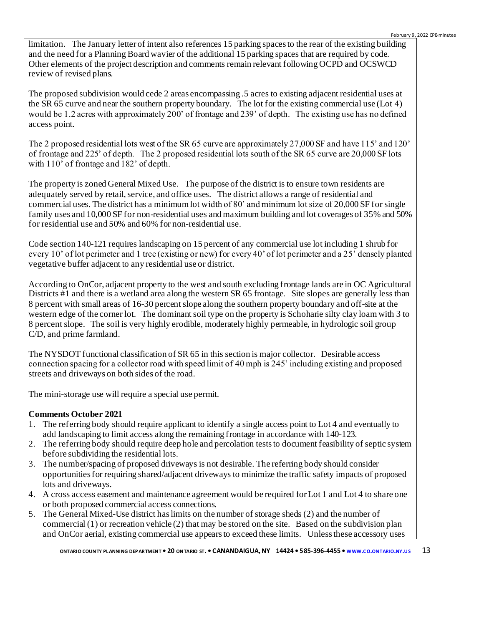limitation. The January letter of intent also references 15 parking spaces to the rear of the existing building and the need for a Planning Board wavier of the additional 15 parking spaces that are required by code. Other elements of the project description and comments remain relevant following OCPD and OCSWCD review of revised plans.

The proposed subdivision would cede 2 areas encompassing .5 acres to existing adjacent residential uses at the SR 65 curve and near the southern property boundary. The lot for the existing commercial use (Lot 4) would be 1.2 acres with approximately 200' of frontage and 239' of depth. The existing use has no defined access point.

The 2 proposed residential lots west of the SR 65 curve are approximately 27,000 SF and have 115' and 120' of frontage and 225' of depth. The 2 proposed residential lots south of the SR 65 curve are 20,000 SF lots with 110' of frontage and 182' of depth.

The property is zoned General Mixed Use. The purpose of the district is to ensure town residents are adequately served by retail, service, and office uses. The district allows a range of residential and commercial uses. The district has a minimum lot width of 80' and minimum lot size of 20,000 SF for single family uses and 10,000 SF for non-residential uses and maximum building and lot coverages of 35% and 50% for residential use and 50% and 60% for non-residential use.

Code section 140-121 requires landscaping on 15 percent of any commercial use lot including 1 shrub for every 10' of lot perimeter and 1 tree (existing or new) for every 40' of lot perimeter and a 25' densely planted vegetative buffer adjacent to any residential use or district.

According to OnCor, adjacent property to the west and south excluding frontage lands are in OC Agricultural Districts #1 and there is a wetland area along the western SR 65 frontage. Site slopes are generally less than 8 percent with small areas of 16-30 percent slope along the southern property boundary and off-site at the western edge of the corner lot. The dominant soil type on the property is Schoharie silty clay loam with 3 to 8 percent slope. The soil is very highly erodible, moderately highly permeable, in hydrologic soil group C/D, and prime farmland.

The NYSDOT functional classification of SR 65 in this section is major collector. Desirable access connection spacing for a collector road with speed limit of 40 mph is 245' including existing and proposed streets and driveways on both sides of the road.

The mini-storage use will require a special use permit.

## **Comments October 2021**

- 1. The referring body should require applicant to identify a single access point to Lot 4 and eventually to add landscaping to limit access along the remaining frontage in accordance with 140-123.
- 2. The referring body should require deep hole and percolation tests to document feasibility of septic system before subdividing the residential lots.
- 3. The number/spacing of proposed driveways is not desirable. The referring body should consider opportunities for requiring shared/adjacent driveways to minimize the traffic safety impacts of proposed lots and driveways.
- 4. A cross access easement and maintenance agreement would be required for Lot 1 and Lot 4 to share one or both proposed commercial access connections.
- 5. The General Mixed-Use district has limits on the number of storage sheds (2) and the number of commercial (1) or recreation vehicle (2) that may be stored on the site. Based on the subdivision plan and OnCor aerial, existing commercial use appears to exceed these limits. Unless these accessory uses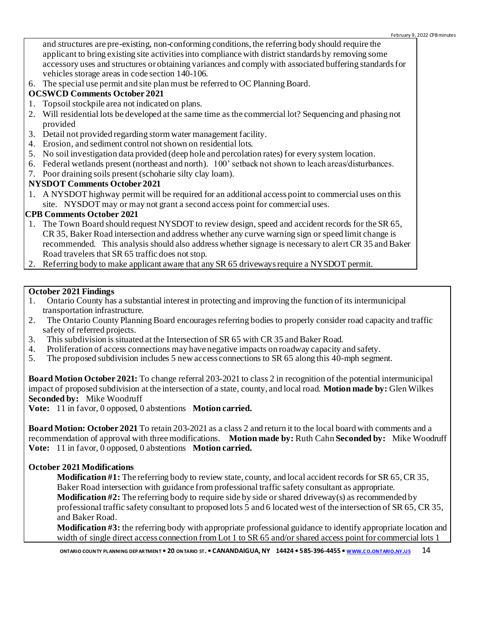and structures are pre-existing, non-conforming conditions, the referring body should require the applicant to bring existing site activities into compliance with district standards by removing some accessory uses and structures or obtaining variances and comply with associated buffering standards for vehicles storage areas in code section 140-106.

6. The special use permit and site plan must be referred to OC Planning Board.

## **OCSWCD Comments October 2021**

- 1. Topsoil stockpile area not indicated on plans.
- 2. Will residential lots be developed at the same time as the commercial lot? Sequencing and phasing not provided
- 3. Detail not provided regarding storm water management facility.
- 4. Erosion, and sediment control not shown on residential lots.
- 5. No soil investigation data provided (deep hole and percolation rates) for every system location.
- 6. Federal wetlands present (northeast and north). 100' setback not shown to leach areas/disturbances.
- 7. Poor draining soils present (schoharie silty clay loam).

## **NYSDOT Comments October 2021**

1. A NYSDOT highway permit will be required for an additional access point to commercial uses on this site. NYSDOT may or may not grant a second access point for commercial uses.

## **CPB Comments October 2021**

- 1. The Town Board should request NYSDOT to review design, speed and accident records for the SR 65, CR 35, Baker Road intersection and address whether any curve warning sign or speed limit change is recommended. This analysis should also address whether signage is necessary to alert CR 35 and Baker Road travelers that SR 65 traffic does not stop.
- 2. Referring body to make applicant aware that any SR 65 driveways require a NYSDOT permit.

## **October 2021 Findings**

- 1. Ontario County has a substantial interest in protecting and improving the function of its intermunicipal transportation infrastructure.
- 2. The Ontario County Planning Board encourages referring bodies to properly consider road capacity and traffic safety of referred projects.
- 3. This subdivision is situated at the Intersection of SR 65 with CR 35 and Baker Road.
- 4. Proliferation of access connections may have negative impacts on roadway capacity and safety.
- 5. The proposed subdivision includes 5 new access connections to SR 65 along this 40-mph segment.

**Board Motion October 2021:** To change referral 203-2021 to class 2 in recognition of the potential intermunicipal impact of proposed subdivision at the intersection of a state, county, and local road. **Motion made by:** Glen Wilkes **Seconded by:** Mike Woodruff

**Vote:** 11 in favor, 0 opposed, 0 abstentions **Motion carried.**

**Board Motion: October 2021** To retain 203-2021 as a class 2 and return it to the local board with comments and a recommendation of approval with three modifications. **Motion made by:** Ruth Cahn **Seconded by:** Mike Woodruff **Vote:** 11 in favor, 0 opposed, 0 abstentions **Motion carried.**

## **October 2021 Modifications**

**Modification #1:** The referring body to review state, county, and local accident records for SR 65, CR 35, Baker Road intersection with guidance from professional traffic safety consultant as appropriate. **Modification #2:** The referring body to require side by side or shared driveway(s) as recommended by professional traffic safety consultant to proposed lots 5 and 6 located west of the intersection of SR 65, CR 35, and Baker Road.

**Modification #3:** the referring body with appropriate professional guidance to identify appropriate location and width of single direct access connection from Lot 1 to SR 65 and/or shared access point for commercial lots 1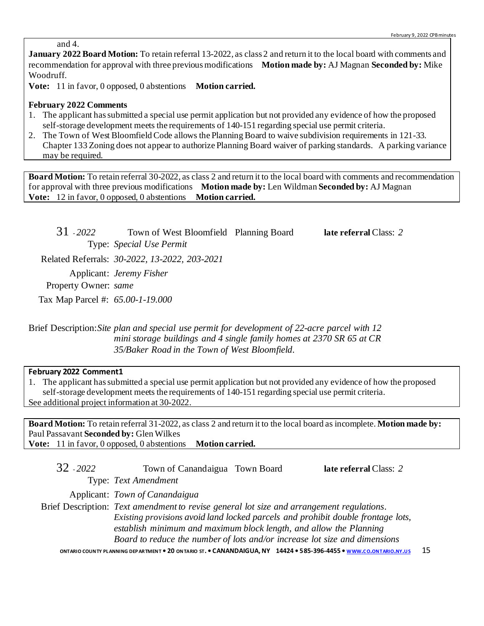and 4.

**January 2022 Board Motion:** To retain referral 13-2022, as class 2 and return it to the local board with comments and recommendation for approval with three previous modifications **Motion made by:** AJ Magnan **Seconded by:** Mike Woodruff.

**Vote:** 11 in favor, 0 opposed, 0 abstentions **Motion carried.**

#### **February 2022 Comments**

- 1. The applicant has submitted a special use permit application but not provided any evidence of how the proposed self-storage development meets the requirements of 140-151 regarding special use permit criteria.
- 2. The Town of West Bloomfield Code allows the Planning Board to waive subdivision requirements in 121-33. Chapter 133 Zoning does not appear to authorize Planning Board waiver of parking standards. A parking variance may be required.

**Board Motion:** To retain referral 30-2022, as class 2 and return it to the local board with comments and recommendation for approval with three previous modifications **Motion made by:** Len Wildman **Seconded by:** AJ Magnan **Vote:** 12 in favor, 0 opposed, 0 abstentions **Motion carried.**

31 - *2022* Town of West Bloomfield Planning Board **late referral** Class: *2* Type: *Special Use Permit* Related Referrals: *30-2022, 13-2022, 203-2021* Applicant: *Jeremy Fisher* Property Owner: *same* Tax Map Parcel #: *65.00-1-19.000*

Brief Description:*Site plan and special use permit for development of 22-acre parcel with 12 mini storage buildings and 4 single family homes at 2370 SR 65 at CR 35/Baker Road in the Town of West Bloomfield.*

#### **February 2022 Comment1**

1. The applicant has submitted a special use permit application but not provided any evidence of how the proposed self-storage development meets the requirements of 140-151 regarding special use permit criteria. See additional project information at 30-2022.

**Board Motion:** To retain referral 31-2022, as class 2 and return it to the local board as incomplete. **Motion made by:**  Paul Passavant **Seconded by:** Glen Wilkes **Vote:** 11 in favor, 0 opposed, 0 abstentions **Motion carried.**

| $32 - 2022$ | Town of Canandaigua Town Board                                                            | late referral Class: 2 |
|-------------|-------------------------------------------------------------------------------------------|------------------------|
|             | Type: Text Amendment                                                                      |                        |
|             | Applicant: Town of Canandaigua                                                            |                        |
|             | Brief Description: Text amendment to revise general lot size and arrangement regulations. |                        |
|             | Existing provisions avoid land locked parcels and prohibit double frontage lots,          |                        |
|             | establish minimum and maximum block length, and allow the Planning                        |                        |
|             | Board to reduce the number of lots and/or increase lot size and dimensions                |                        |
|             |                                                                                           |                        |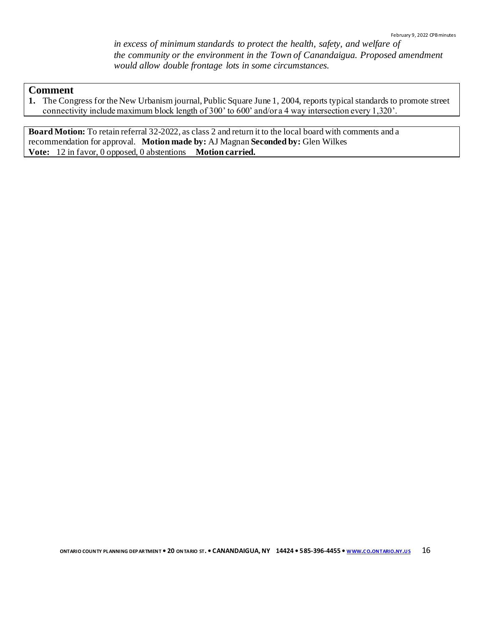*in excess of minimum standards to protect the health, safety, and welfare of the community or the environment in the Town of Canandaigua. Proposed amendment would allow double frontage lots in some circumstances.*

#### **Comment**

**1.** The Congress for the New Urbanism journal, Public Square June 1, 2004, reports typical standards to promote street connectivity include maximum block length of 300' to 600' and/or a 4 way intersection every 1,320'.

**Board Motion:** To retain referral 32-2022, as class 2 and return it to the local board with comments and a recommendation for approval. **Motion made by:** AJ Magnan **Seconded by:** Glen Wilkes **Vote:** 12 in favor, 0 opposed, 0 abstentions **Motion carried.**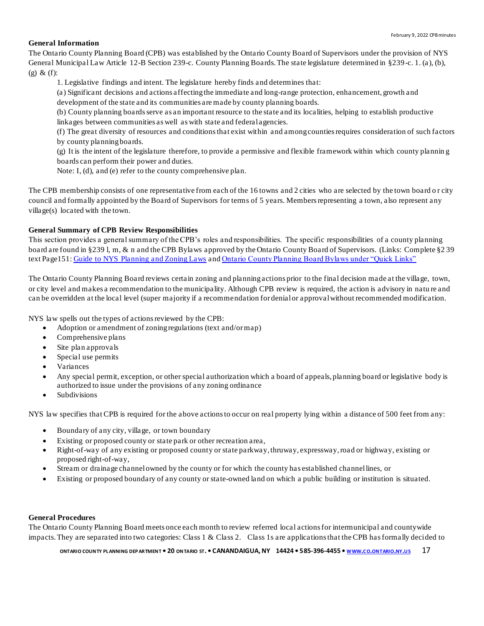#### **General Information**

The Ontario County Planning Board (CPB) was established by the Ontario County Board of Supervisors under the provision of NYS General Municipal Law Article 12-B Section 239-c. County Planning Boards. The state legislature determined in §239-c. 1. (a), (b), (g) & (f):

1. Legislative findings and intent. The legislature hereby finds and determines that:

(a) Significant decisions and actions affecting the immediate and long-range protection, enhancement, growth and development of the state and its communities are made by county planning boards.

(b) County planning boards serve as an important resource to the state and its localities, helping to establish productive linkages between communities as well as with state and federal agencies.

(f) The great diversity of resources and conditions that exist within and among counties requires consideration of such factors by county planning boards.

(g) It is the intent of the legislature therefore, to provide a permissive and flexible framework within which county plannin g boards can perform their power and duties.

Note: I, (d), and (e) refer to the county comprehensive plan.

The CPB membership consists of one representative from each of the 16 towns and 2 cities who are selected by the town board o r city council and formally appointed by the Board of Supervisors for terms of 5 years. Members representing a town, also represent any village(s) located with the town.

#### **General Summary of CPB Review Responsibilities**

This section provides a general summary of the CPB's roles and responsibilities. The specific responsibilities of a county planning board are found in §239 l, m, & n and the CPB Bylaws approved by the Ontario County Board of Supervisors. (Links: Complete §2 39 text Page151[: Guide to NYS Planning and Zoning Laws](http://www.dos.ny.gov/lg/publications/Guide_to_Planning_and_Zoning_Laws.pdf) an[d Ontario County Planning Board Bylaws under "Quick Links"](http://www.co.ontario.ny.us/index.aspx?nid=516)

The Ontario County Planning Board reviews certain zoning and planning actions prior to the final decision made at the village, town, or city level and makes a recommendation to the municipality. Although CPB review is required, the action is advisory in natu re and can be overridden at the local level (super majority if a recommendation for denial or approval without recommended modification.

NYS law spells out the types of actions reviewed by the CPB:

- Adoption or amendment of zoning regulations (text and/or map)
- Comprehensive plans
- Site plan approvals
- Special use permits
- Variances
- Any special permit, exception, or other special authorization which a board of appeals, planning board or legislative body is authorized to issue under the provisions of any zoning ordinance
- **Subdivisions**

NYS law specifies that CPB is required for the above actions to occur on real property lying within a distance of 500 feet from any:

- Boundary of any city, village, or town boundary
- Existing or proposed county or state park or other recreation area,
- Right-of-way of any existing or proposed county or state parkway, thruway, expressway, road or highway, existing or proposed right-of-way,
- Stream or drainage channel owned by the county or for which the county has established channel lines, or
- Existing or proposed boundary of any county or state-owned land on which a public building or institution is situated.

#### **General Procedures**

The Ontario County Planning Board meets once each month to review referred local actions for intermunicipal and countywide impacts. They are separated into two categories: Class 1 & Class 2. Class 1s are applications that the CPB has formally decided to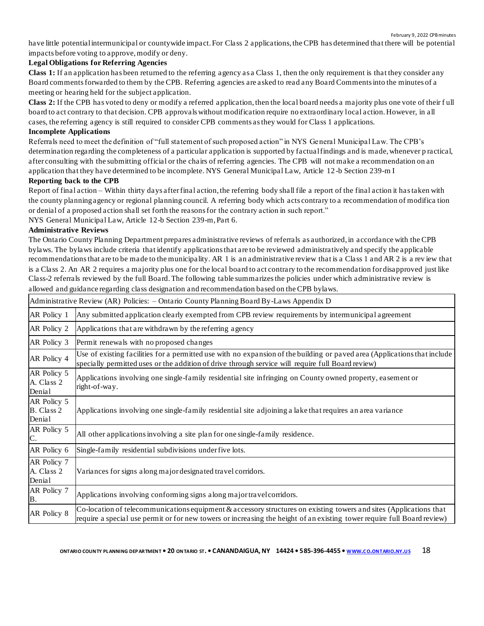have little potential intermunicipal or countywide impact. For Class 2 applications, the CPB has determined that there will be potential impacts before voting to approve, modify or deny.

#### **Legal Obligations for Referring Agencies**

**Class 1:** If an application has been returned to the referring agency as a Class 1, then the only requirement is that they consider any Board comments forwarded to them by the CPB. Referring agencies are asked to read any Board Comments into the minutes of a meeting or hearing held for the subject application.

**Class 2:** If the CPB has voted to deny or modify a referred application, then the local board needs a majority plus one vote of their f ull board to act contrary to that decision. CPB approvals without modification require no extraordinary local action. However, in all cases, the referring agency is still required to consider CPB comments as they would for Class 1 applications.

#### **Incomplete Applications**

Referrals need to meet the definition of "full statement of such proposed action" in NYS General Municipal Law. The CPB's determination regarding the completeness of a particular application is supported by factual findings and is made, whenever p ractical, after consulting with the submitting official or the chairs of referring agencies. The CPB will not make a recommendation on an application that they have determined to be incomplete. NYS General Municipal Law, Article 12 -b Section 239-m I

#### **Reporting back to the CPB**

Report of final action – Within thirty days after final action, the referring body shall file a report of the final action it has taken with the county planning agency or regional planning council. A referring body which acts contrary to a recommendation of modifica tion or denial of a proposed action shall set forth the reasons for the contrary action in such report."

NYS General Municipal Law, Article 12-b Section 239-m, Part 6.

#### **Administrative Reviews**

The Ontario County Planning Department prepares administrative reviews of referrals as authorized, in accordance with the CPB bylaws. The bylaws include criteria that identify applications that are to be reviewed administratively and specify the applicable recommendations that are to be made to the municipality. AR 1 is an administrative review that is a Class 1 and AR 2 is a rev iew that is a Class 2. An AR 2 requires a majority plus one for the local board to act contrary to the recommendation for disapproved just like Class-2 referrals reviewed by the full Board. The following table summarizes the policies under which administrative review is allowed and guidance regarding class designation and recommendation based on the CPB bylaws.

|                                     | Administrative Review (AR) Policies: - Ontario County Planning Board By-Laws Appendix D                                                                                                                                                       |
|-------------------------------------|-----------------------------------------------------------------------------------------------------------------------------------------------------------------------------------------------------------------------------------------------|
| AR Policy 1                         | Any submitted application clearly exempted from CPB review requirements by intermunicipal agreement                                                                                                                                           |
| AR Policy 2                         | Applications that are withdrawn by the referring agency                                                                                                                                                                                       |
| AR Policy 3                         | Permit renewals with no proposed changes                                                                                                                                                                                                      |
| AR Policy 4                         | Use of existing facilities for a permitted use with no expansion of the building or paved area (Applications that include<br>specially permitted uses or the addition of drive through service will require full Board review)                |
| AR Policy 5<br>A. Class 2<br>Denial | Applications involving one single-family residential site infringing on County owned property, easement or<br>right-of-way.                                                                                                                   |
| AR Policy 5<br>B. Class 2<br>Denial | Applications involving one single-family residential site adjoining a lake that requires an area variance                                                                                                                                     |
| AR Policy 5<br>C.                   | All other applications involving a site plan for one single-family residence.                                                                                                                                                                 |
| AR Policy 6                         | Single-family residential subdivisions under five lots.                                                                                                                                                                                       |
| AR Policy 7<br>A. Class 2<br>Denial | Variances for signs along major designated travel corridors.                                                                                                                                                                                  |
| AR Policy 7<br>Β.                   | Applications involving conforming signs along major travel corridors.                                                                                                                                                                         |
| AR Policy 8                         | Co-location of telecommunications equipment & accessory structures on existing towers and sites (Applications that<br>require a special use permit or for new towers or increasing the height of an existing tower require full Board review) |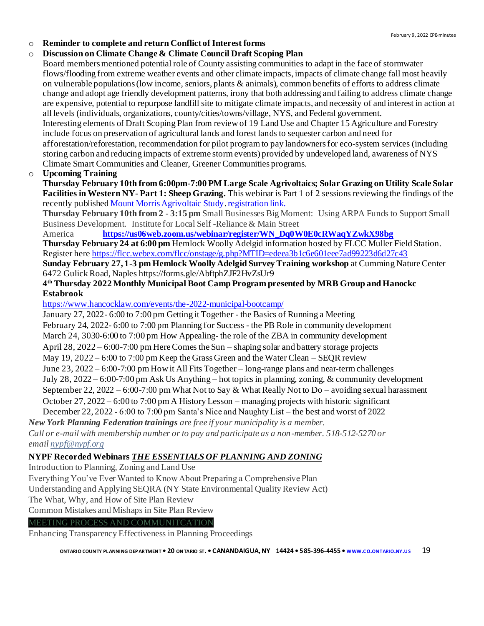#### o **Reminder to complete and return Conflict of Interest forms**

#### o **Discussion on Climate Change & Climate Council Draft Scoping Plan**

Board members mentioned potential role of County assisting communities to adapt in the face of stormwater flows/flooding from extreme weather events and other climate impacts, impacts of climate change fall most heavily on vulnerable populations (low income, seniors, plants & animals), common benefits of efforts to address climate change and adopt age friendly development patterns, irony that both addressing and failing to address climate change are expensive, potential to repurpose landfill site to mitigate climate impacts, and necessity of and interest in action at all levels (individuals, organizations, county/cities/towns/village, NYS, and Federal government. Interesting elements of Draft Scoping Plan from review of 19 Land Use and Chapter 15 Agriculture and Forestry include focus on preservation of agricultural lands and forest lands to sequester carbon and need for afforestation/reforestation, recommendation for pilot program to pay landowners for eco-system services (including storing carbon and reducing impacts of extreme storm events) provided by undeveloped land, awareness of NYS

Climate Smart Communities and Cleaner, Greener Communities programs.

#### o **Upcoming Training**

**Thursday February 10th from 6:00pm-7:00 PM Large Scale Agrivoltaics; Solar Grazing on Utility Scale Solar Facilities in Western NY- Part 1: Sheep Grazing.** This webinar is Part 1 of 2 sessions reviewing the findings of the recently published [Mount Morris Agrivoltaic Study](https://linkprotect.cudasvc.com/url?a=https%3a%2f%2fusesusa.org%2fwp-content%2fuploads%2f2021%2f11%2fMountMorris-AgrivoltaicReport2021-WEB.pdf&c=E,1,rrv_x4p8IZytONfCJRNtLF_2wiYfAFRpo1SGx0Ds3w-14Am5hx7y-kVRuPxkXleYX56L6BDM-Gumr75C2Sen6Uxiuwz4Ga9cSdbnXKbXQIrTBrDr&typo=1)[. registration link.](https://us02web.zoom.us/webinar/register/WN_4WzkmTXZQyuCW35ZvQxg-w)

**Thursday February 10th from 2 - 3:15 pm** Small Businesses Big Moment: Using ARPA Funds to Support Small Business Development. Institute for Local Self -Reliance & Main Street

America **[Her](https://linkprotect.cudasvc.com/url?a=https%3a%2f%2filsr.us5.list-manage.com%2ftrack%2fclick%3fu%3debfe77c732e7192553aef5712%26id%3d87c23d86d4%26e%3d29816469a1&c=E,1,EtjvLOV1kWg0o8LG2e1wxw2zz27QYLXq_WHMPsmbTKcYYSmphplLU2euHSpiKyM8K-ZyY_kYjbr3WEAL63JFhhFXbrigye6tSIzNdFJph_Hfn8KytYIFQSPM&typo=1)[ehttps://us06web.zoom.us/webinar/register/WN\\_Dq0W0E0cRWaqYZwkX98bg](https://us06web.zoom.us/webinar/register/WN_Dq0W0E0cRWaqYZwkX98bg)**

**Thursday February 24 at 6:00 pm** Hemlock Woolly Adelgid information hosted by FLCC Muller Field Station. Register her[e https://flcc.webex.com/flcc/onstage/g.php?MTID=edeea3b1c6e601eee7ad99223d6d27c43](https://flcc.webex.com/flcc/onstage/g.php?MTID=edeea3b1c6e601eee7ad99223d6d27c43)

**Sunday February 27, 1-3 pm Hemlock Woolly Adelgid Survey Training workshop** at Cumming Nature Center 6472 Gulick Road, Naples https://forms.gle/AbftphZJF2HvZsUr9

## **4 th Thursday 2022 Monthly Municipal Boot Camp Program presented by MRB Group and Hanockc Estabrook**

<https://www.hancocklaw.com/events/the-2022-municipal-bootcamp/>

January 27, 2022- 6:00 to 7:00 pm Getting it Together - the Basics of Running a Meeting

February 24, 2022- 6:00 to 7:00 pm Planning for Success - the PB Role in community development

March 24, 3030-6:00 to 7:00 pm How Appealing- the role of the ZBA in community development

April 28, 2022 – 6:00-7:00 pm Here Comes the Sun – shaping solar and battery storage projects

May  $19, 2022 - 6:00$  to  $7:00$  pm Keep the Grass Green and the Water Clean – SEQR review

June 23, 2022 – 6:00-7:00 pm How it All Fits Together – long-range plans and near-term challenges

July 28, 2022 – 6:00-7:00 pm Ask Us Anything – hot topics in planning, zoning, & community development

September 22, 2022 – 6:00-7:00 pm What Not to Say & What Really Not to Do – avoiding sexual harassment

October 27, 2022 – 6:00 to 7:00 pm A History Lesson – managing projects with historic significant

December 22, 2022 - 6:00 to 7:00 pm Santa's Nice and Naughty List – the best and worst of 2022

*New York Planning Federation trainings are free if your municipality is a member.* 

*Call or e-mail with membership number or to pay and participate as a non-member. 518-512-5270 or email [nypf@nypf.org](mailto:nypf@nypf.org)*

#### **NYPF Recorded Webinars** *THE ESSENTIALS OF PLANNING AND ZONING*

Introduction to Planning, Zoning and Land Use

Everything You've Ever Wanted to Know About Preparing a Comprehensive Plan

Understanding and Applying SEQRA (NY State Environmental Quality Review Act)

The What, Why, and How of Site Plan Review

Common Mistakes and Mishaps in Site Plan Review

#### MEETING PROCESS AND COMMUNITCATION

Enhancing Transparency Effectiveness in Planning Proceedings